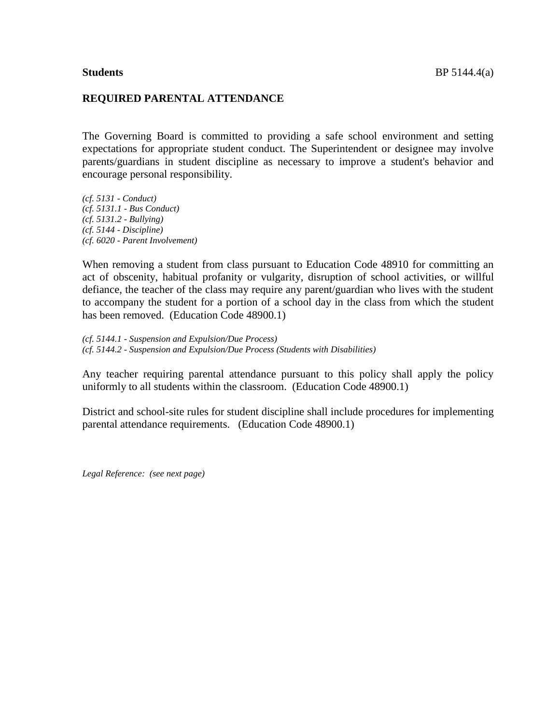## **REQUIRED PARENTAL ATTENDANCE**

The Governing Board is committed to providing a safe school environment and setting expectations for appropriate student conduct. The Superintendent or designee may involve parents/guardians in student discipline as necessary to improve a student's behavior and encourage personal responsibility.

*(cf. 5131 - Conduct) (cf. 5131.1 - Bus Conduct) (cf. 5131.2 - Bullying) (cf. 5144 - Discipline) (cf. 6020 - Parent Involvement)*

When removing a student from class pursuant to Education Code 48910 for committing an act of obscenity, habitual profanity or vulgarity, disruption of school activities, or willful defiance, the teacher of the class may require any parent/guardian who lives with the student to accompany the student for a portion of a school day in the class from which the student has been removed. (Education Code 48900.1)

*(cf. 5144.1 - Suspension and Expulsion/Due Process) (cf. 5144.2 - Suspension and Expulsion/Due Process (Students with Disabilities)*

Any teacher requiring parental attendance pursuant to this policy shall apply the policy uniformly to all students within the classroom. (Education Code 48900.1)

District and school-site rules for student discipline shall include procedures for implementing parental attendance requirements. (Education Code 48900.1)

*Legal Reference: (see next page)*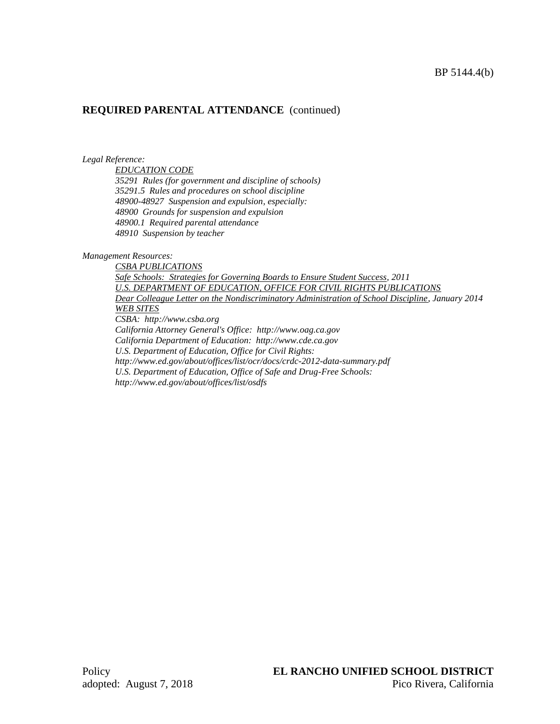# **REQUIRED PARENTAL ATTENDANCE** (continued)

### *Legal Reference:*

*EDUCATION CODE*

*35291 Rules (for government and discipline of schools) 35291.5 Rules and procedures on school discipline 48900-48927 Suspension and expulsion, especially: 48900 Grounds for suspension and expulsion 48900.1 Required parental attendance 48910 Suspension by teacher*

## *Management Resources:*

*CSBA PUBLICATIONS Safe Schools: Strategies for Governing Boards to Ensure Student Success, 2011 U.S. DEPARTMENT OF EDUCATION, OFFICE FOR CIVIL RIGHTS PUBLICATIONS Dear Colleague Letter on the Nondiscriminatory Administration of School Discipline, January 2014 WEB SITES CSBA: http://www.csba.org California Attorney General's Office: http://www.oag.ca.gov California Department of Education: http://www.cde.ca.gov U.S. Department of Education, Office for Civil Rights: http://www.ed.gov/about/offices/list/ocr/docs/crdc-2012-data-summary.pdf U.S. Department of Education, Office of Safe and Drug-Free Schools: http://www.ed.gov/about/offices/list/osdfs*